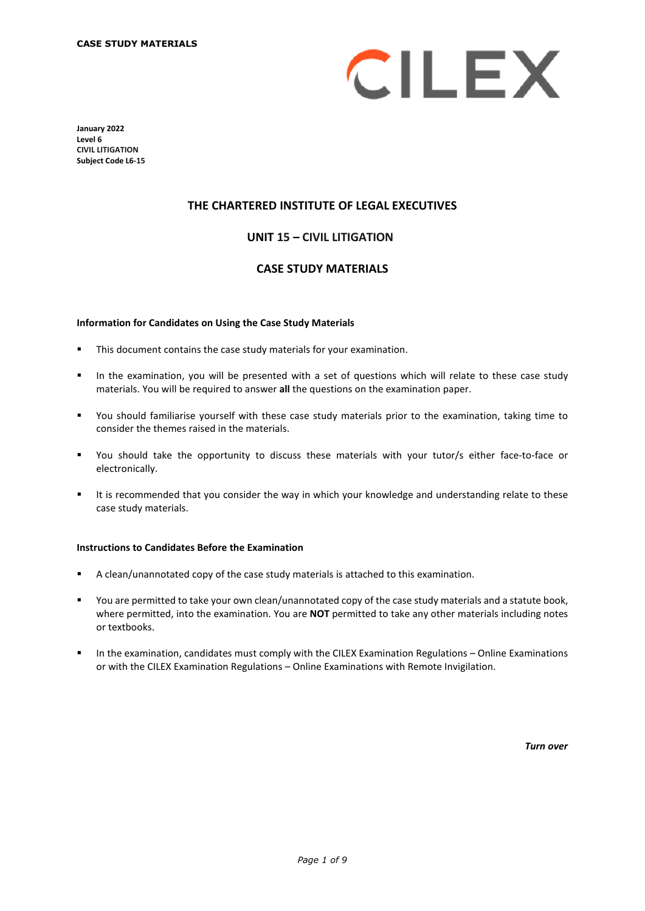

**January 2022 Level 6 CIVIL LITIGATION Subject Code L6-15**

## **THE CHARTERED INSTITUTE OF LEGAL EXECUTIVES**

# **UNIT 15 – CIVIL LITIGATION\***

## **CASE STUDY MATERIALS**

#### **Information for Candidates on Using the Case Study Materials**

- This document contains the case study materials for your examination.
- In the examination, you will be presented with a set of questions which will relate to these case study materials. You will be required to answer **all** the questions on the examination paper.
- You should familiarise yourself with these case study materials prior to the examination, taking time to consider the themes raised in the materials.
- You should take the opportunity to discuss these materials with your tutor/s either face-to-face or electronically.
- It is recommended that you consider the way in which your knowledge and understanding relate to these case study materials.

#### **Instructions to Candidates Before the Examination**

- A clean/unannotated copy of the case study materials is attached to this examination.
- You are permitted to take your own clean/unannotated copy of the case study materials and a statute book, where permitted, into the examination. You are **NOT** permitted to take any other materials including notes or textbooks.
- In the examination, candidates must comply with the CILEX Examination Regulations Online Examinations or with the CILEX Examination Regulations – Online Examinations with Remote Invigilation.

*Turn over*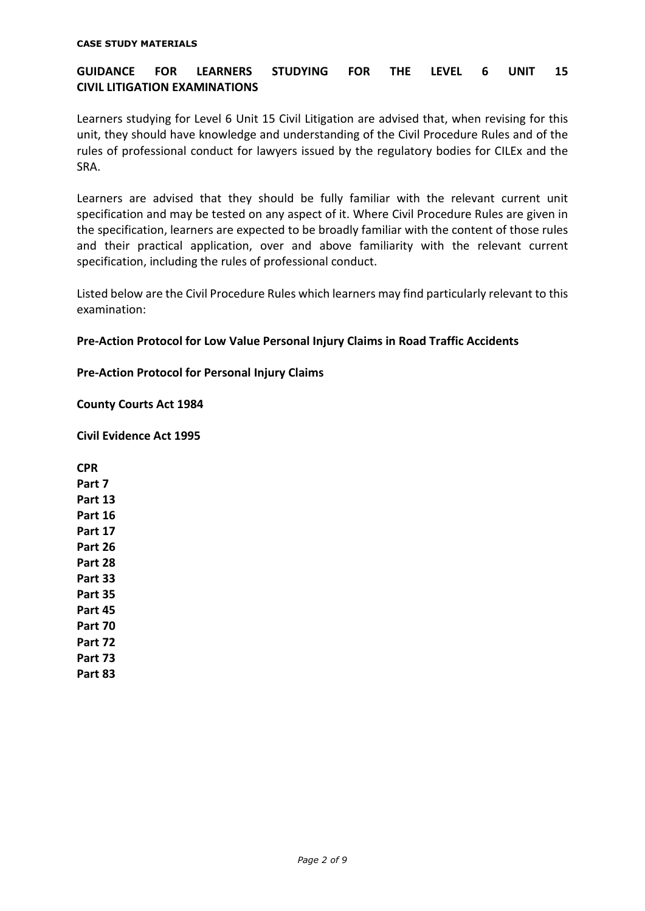#### **CASE STUDY MATERIALS**

# **GUIDANCE FOR LEARNERS STUDYING FOR THE LEVEL 6 UNIT 15 CIVIL LITIGATION EXAMINATIONS**

Learners studying for Level 6 Unit 15 Civil Litigation are advised that, when revising for this unit, they should have knowledge and understanding of the Civil Procedure Rules and of the rules of professional conduct for lawyers issued by the regulatory bodies for CILEx and the SRA.

Learners are advised that they should be fully familiar with the relevant current unit specification and may be tested on any aspect of it. Where Civil Procedure Rules are given in the specification, learners are expected to be broadly familiar with the content of those rules and their practical application, over and above familiarity with the relevant current specification, including the rules of professional conduct.

Listed below are the Civil Procedure Rules which learners may find particularly relevant to this examination:

## **Pre-Action Protocol for Low Value Personal Injury Claims in Road Traffic Accidents**

**Pre-Action Protocol for Personal Injury Claims**

**County Courts Act 1984**

**Civil Evidence Act 1995**

**CPR Part 7 Part 13 Part 16 Part 17 Part 26 Part 28 Part 33 Part 35 Part 45 Part 70 Part 72 Part 73 Part 83**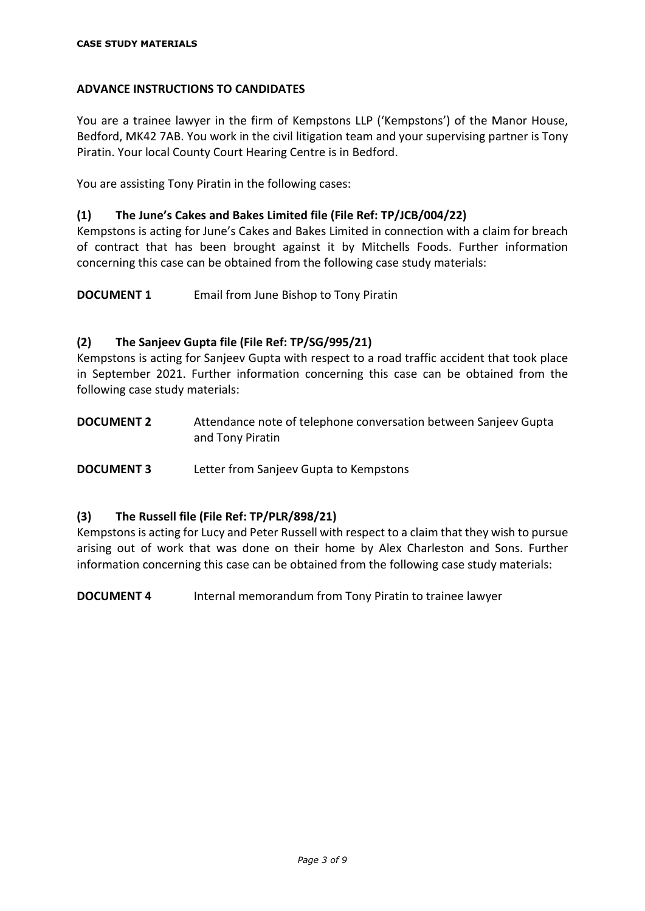# **ADVANCE INSTRUCTIONS TO CANDIDATES**

You are a trainee lawyer in the firm of Kempstons LLP ('Kempstons') of the Manor House, Bedford, MK42 7AB. You work in the civil litigation team and your supervising partner is Tony Piratin. Your local County Court Hearing Centre is in Bedford.

You are assisting Tony Piratin in the following cases:

# **(1) The June's Cakes and Bakes Limited file (File Ref: TP/JCB/004/22)**

Kempstons is acting for June's Cakes and Bakes Limited in connection with a claim for breach of contract that has been brought against it by Mitchells Foods. Further information concerning this case can be obtained from the following case study materials:

**DOCUMENT 1** Email from June Bishop to Tony Piratin

# **(2) The Sanjeev Gupta file (File Ref: TP/SG/995/21)**

Kempstons is acting for Sanjeev Gupta with respect to a road traffic accident that took place in September 2021. Further information concerning this case can be obtained from the following case study materials:

**DOCUMENT 2** Attendance note of telephone conversation between Sanjeev Gupta and Tony Piratin

**DOCUMENT 3** Letter from Sanjeev Gupta to Kempstons

# **(3) The Russell file (File Ref: TP/PLR/898/21)**

Kempstons is acting for Lucy and Peter Russell with respect to a claim that they wish to pursue arising out of work that was done on their home by Alex Charleston and Sons. Further information concerning this case can be obtained from the following case study materials:

**DOCUMENT 4** Internal memorandum from Tony Piratin to trainee lawyer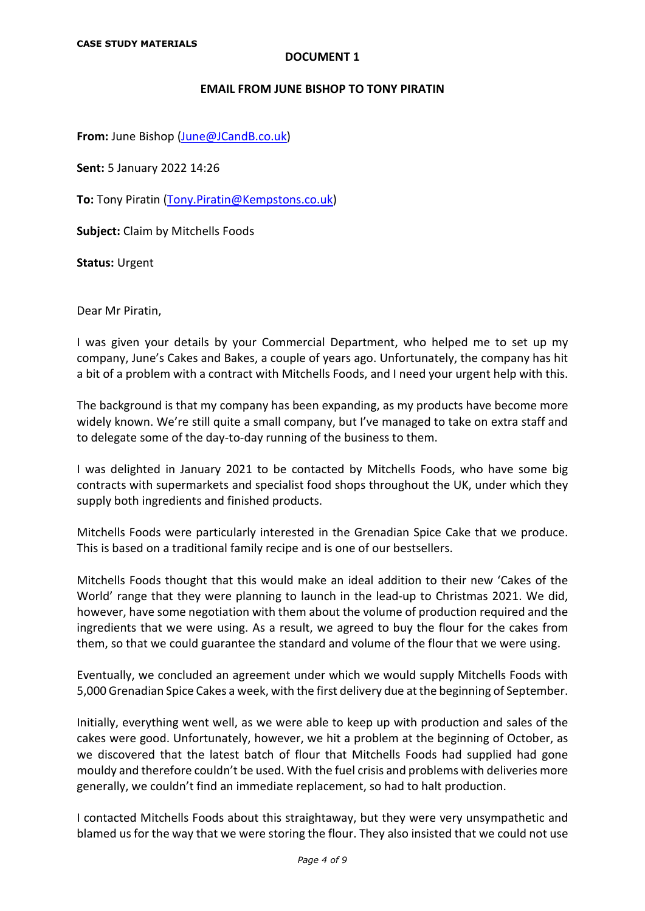#### **EMAIL FROM JUNE BISHOP TO TONY PIRATIN**

**From:** June Bishop (June@JCandB.co.uk)

**Sent:** 5 January 2022 14:26

**To:** Tony Piratin [\(Tony.Piratin@Kempstons.co.uk\)](mailto:Tony.Piratin@Kempstons.co.uk)

**Subject:** Claim by Mitchells Foods

**Status:** Urgent

Dear Mr Piratin,

I was given your details by your Commercial Department, who helped me to set up my company, June's Cakes and Bakes, a couple of years ago. Unfortunately, the company has hit a bit of a problem with a contract with Mitchells Foods, and I need your urgent help with this.

The background is that my company has been expanding, as my products have become more widely known. We're still quite a small company, but I've managed to take on extra staff and to delegate some of the day-to-day running of the business to them.

I was delighted in January 2021 to be contacted by Mitchells Foods, who have some big contracts with supermarkets and specialist food shops throughout the UK, under which they supply both ingredients and finished products.

Mitchells Foods were particularly interested in the Grenadian Spice Cake that we produce. This is based on a traditional family recipe and is one of our bestsellers.

Mitchells Foods thought that this would make an ideal addition to their new 'Cakes of the World' range that they were planning to launch in the lead-up to Christmas 2021. We did, however, have some negotiation with them about the volume of production required and the ingredients that we were using. As a result, we agreed to buy the flour for the cakes from them, so that we could guarantee the standard and volume of the flour that we were using.

Eventually, we concluded an agreement under which we would supply Mitchells Foods with 5,000 Grenadian Spice Cakes a week, with the first delivery due at the beginning of September.

Initially, everything went well, as we were able to keep up with production and sales of the cakes were good. Unfortunately, however, we hit a problem at the beginning of October, as we discovered that the latest batch of flour that Mitchells Foods had supplied had gone mouldy and therefore couldn't be used. With the fuel crisis and problems with deliveries more generally, we couldn't find an immediate replacement, so had to halt production.

I contacted Mitchells Foods about this straightaway, but they were very unsympathetic and blamed us for the way that we were storing the flour. They also insisted that we could not use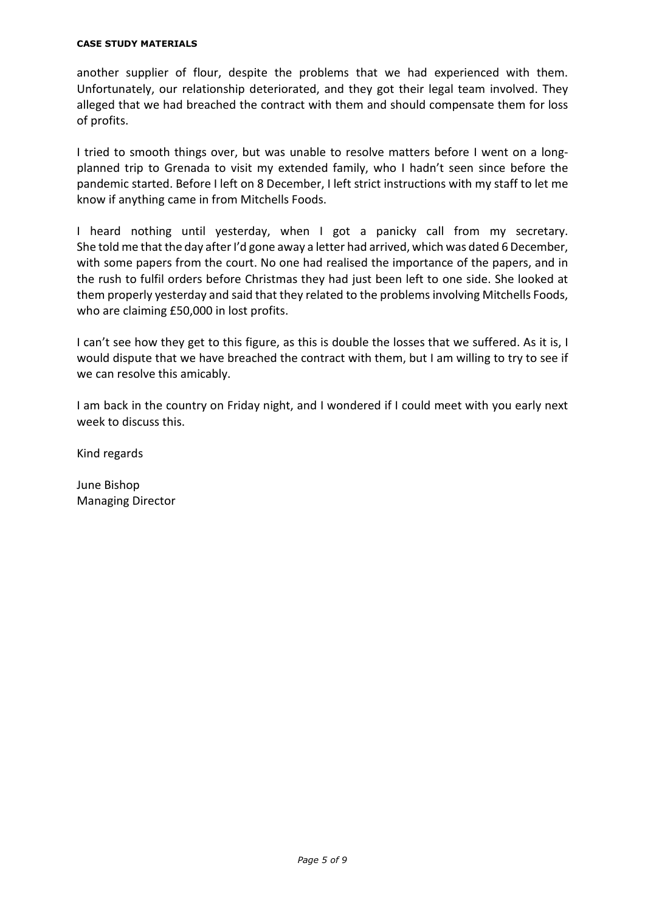#### **CASE STUDY MATERIALS**

another supplier of flour, despite the problems that we had experienced with them. Unfortunately, our relationship deteriorated, and they got their legal team involved. They alleged that we had breached the contract with them and should compensate them for loss of profits.

I tried to smooth things over, but was unable to resolve matters before I went on a longplanned trip to Grenada to visit my extended family, who I hadn't seen since before the pandemic started. Before I left on 8 December, I left strict instructions with my staff to let me know if anything came in from Mitchells Foods.

I heard nothing until yesterday, when I got a panicky call from my secretary. She told me that the day after I'd gone away a letter had arrived, which was dated 6 December, with some papers from the court. No one had realised the importance of the papers, and in the rush to fulfil orders before Christmas they had just been left to one side. She looked at them properly yesterday and said that they related to the problemsinvolving Mitchells Foods, who are claiming £50,000 in lost profits.

I can't see how they get to this figure, as this is double the losses that we suffered. As it is, I would dispute that we have breached the contract with them, but I am willing to try to see if we can resolve this amicably.

I am back in the country on Friday night, and I wondered if I could meet with you early next week to discuss this.

Kind regards

June Bishop Managing Director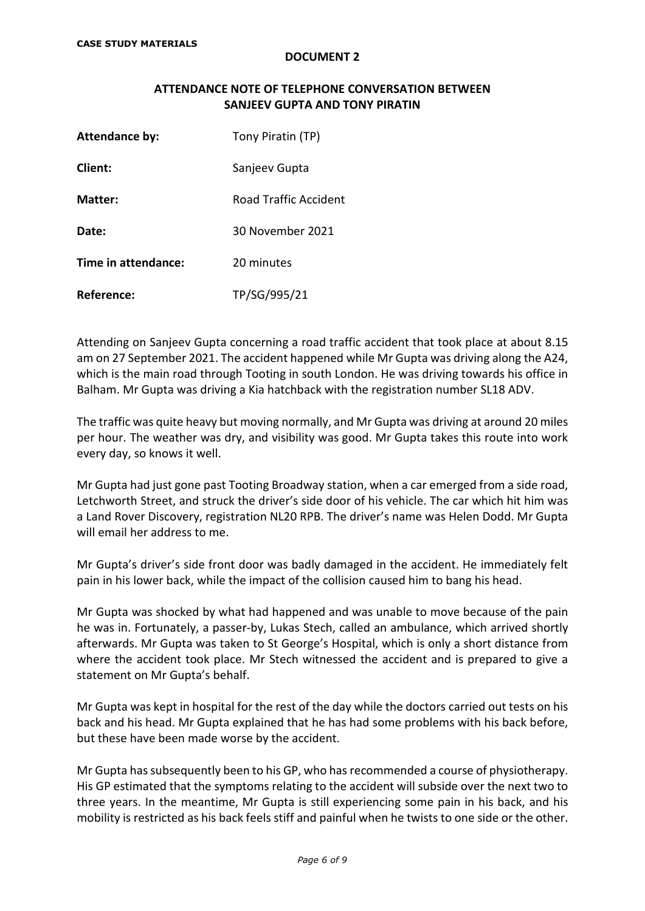## **ATTENDANCE NOTE OF TELEPHONE CONVERSATION BETWEEN SANJEEV GUPTA AND TONY PIRATIN**

| <b>Attendance by:</b> | Tony Piratin (TP)     |
|-----------------------|-----------------------|
| Client:               | Sanjeev Gupta         |
| Matter:               | Road Traffic Accident |
| Date:                 | 30 November 2021      |
| Time in attendance:   | 20 minutes            |
| Reference:            | TP/SG/995/21          |

Attending on Sanjeev Gupta concerning a road traffic accident that took place at about 8.15 am on 27 September 2021. The accident happened while Mr Gupta was driving along the A24, which is the main road through Tooting in south London. He was driving towards his office in Balham. Mr Gupta was driving a Kia hatchback with the registration number SL18 ADV.

The traffic was quite heavy but moving normally, and Mr Gupta was driving at around 20 miles per hour. The weather was dry, and visibility was good. Mr Gupta takes this route into work every day, so knows it well.

Mr Gupta had just gone past Tooting Broadway station, when a car emerged from a side road, Letchworth Street, and struck the driver's side door of his vehicle. The car which hit him was a Land Rover Discovery, registration NL20 RPB. The driver's name was Helen Dodd. Mr Gupta will email her address to me.

Mr Gupta's driver's side front door was badly damaged in the accident. He immediately felt pain in his lower back, while the impact of the collision caused him to bang his head.

Mr Gupta was shocked by what had happened and was unable to move because of the pain he was in. Fortunately, a passer-by, Lukas Stech, called an ambulance, which arrived shortly afterwards. Mr Gupta was taken to St George's Hospital, which is only a short distance from where the accident took place. Mr Stech witnessed the accident and is prepared to give a statement on Mr Gupta's behalf.

Mr Gupta was kept in hospital for the rest of the day while the doctors carried out tests on his back and his head. Mr Gupta explained that he has had some problems with his back before, but these have been made worse by the accident.

Mr Gupta has subsequently been to his GP, who has recommended a course of physiotherapy. His GP estimated that the symptoms relating to the accident will subside over the next two to three years. In the meantime, Mr Gupta is still experiencing some pain in his back, and his mobility is restricted as his back feels stiff and painful when he twists to one side or the other.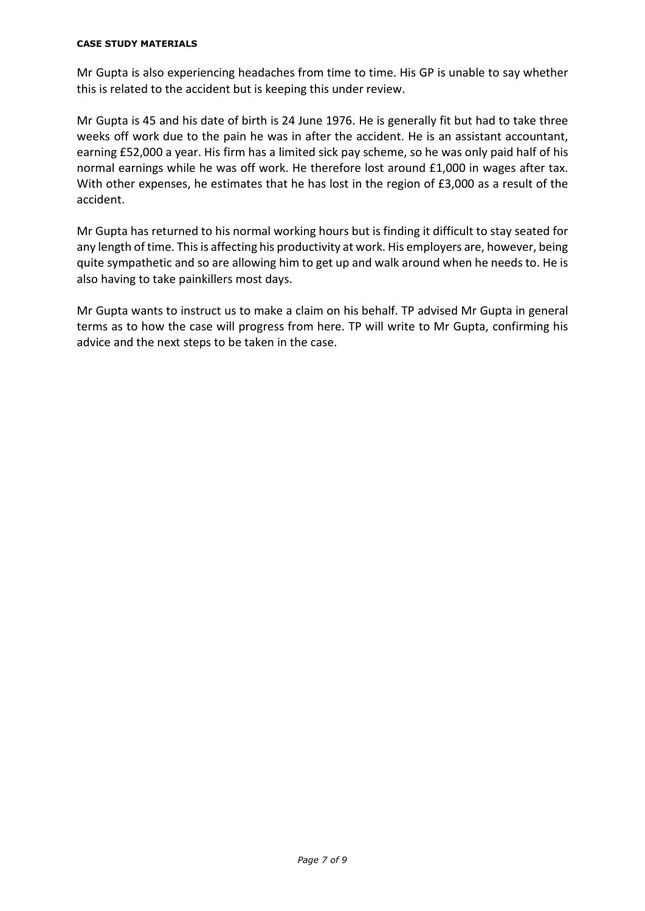#### **CASE STUDY MATERIALS**

Mr Gupta is also experiencing headaches from time to time. His GP is unable to say whether this is related to the accident but is keeping this under review.

Mr Gupta is 45 and his date of birth is 24 June 1976. He is generally fit but had to take three weeks off work due to the pain he was in after the accident. He is an assistant accountant, earning £52,000 a year. His firm has a limited sick pay scheme, so he was only paid half of his normal earnings while he was off work. He therefore lost around £1,000 in wages after tax. With other expenses, he estimates that he has lost in the region of £3,000 as a result of the accident.

Mr Gupta has returned to his normal working hours but is finding it difficult to stay seated for any length of time. This is affecting his productivity at work. His employers are, however, being quite sympathetic and so are allowing him to get up and walk around when he needs to. He is also having to take painkillers most days.

Mr Gupta wants to instruct us to make a claim on his behalf. TP advised Mr Gupta in general terms as to how the case will progress from here. TP will write to Mr Gupta, confirming his advice and the next steps to be taken in the case.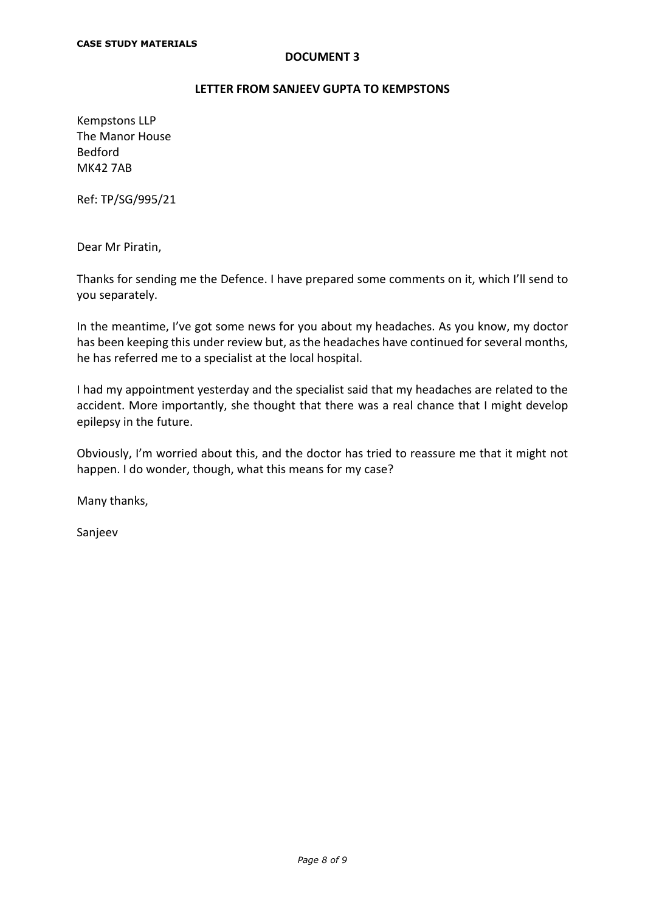## **LETTER FROM SANJEEV GUPTA TO KEMPSTONS**

Kempstons LLP The Manor House Bedford MK42 7AB

Ref: TP/SG/995/21

Dear Mr Piratin,

Thanks for sending me the Defence. I have prepared some comments on it, which I'll send to you separately.

In the meantime, I've got some news for you about my headaches. As you know, my doctor has been keeping this under review but, as the headaches have continued for several months, he has referred me to a specialist at the local hospital.

I had my appointment yesterday and the specialist said that my headaches are related to the accident. More importantly, she thought that there was a real chance that I might develop epilepsy in the future.

Obviously, I'm worried about this, and the doctor has tried to reassure me that it might not happen. I do wonder, though, what this means for my case?

Many thanks,

Sanjeev